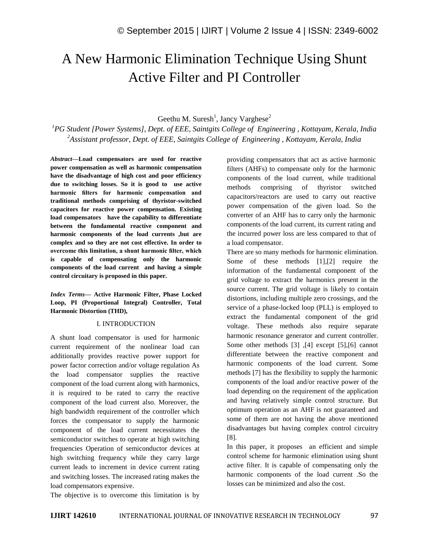# A New Harmonic Elimination Technique Using Shunt Active Filter and PI Controller

Geethu M. Suresh<sup>1</sup>, Jancy Varghese<sup>2</sup>

*<sup>1</sup>PG Student [Power Systems], Dept. of EEE, Saintgits College of Engineering , Kottayam, Kerala, India <sup>2</sup>Assistant professor, Dept. of EEE, Saintgits College of Engineering , Kottayam, Kerala, India*

*Abstract—***Load compensators are used for reactive power compensation as well as harmonic compensation have the disadvantage of high cost and poor efficiency due to switching losses. So it is good to use active harmonic filters for harmonic compensation and traditional methods comprising of thyristor-switched capacitors for reactive power compensation. Existing load compensators have the capability to differentiate between the fundamental reactive component and harmonic components of the load currents ,but are complex and so they are not cost effective. In order to overcome this limitation, a shunt harmonic filter, which is capable of compensating only the harmonic components of the load current and having a simple control circuitary is proposed in this paper.**

*Index Terms—* **Active Harmonic Filter, Phase Locked Loop, PI (Proportional Integral) Controller, Total Harmonic Distortion (THD),**

## I. INTRODUCTION

A shunt load compensator is used for harmonic current requirement of the nonlinear load can additionally provides reactive power support for power factor correction and/or voltage regulation As the load compensator supplies the reactive component of the load current along with harmonics, it is required to be rated to carry the reactive component of the load current also. Moreover, the high bandwidth requirement of the controller which forces the compensator to supply the harmonic component of the load current necessitates the semiconductor switches to operate at high switching frequencies Operation of semiconductor devices at high switching frequency while they carry large current leads to increment in device current rating and switching losses. The increased rating makes the load compensators expensive.

The objective is to overcome this limitation is by

providing compensators that act as active harmonic filters (AHFs) to compensate only for the harmonic components of the load current, while traditional methods comprising of thyristor switched capacitors/reactors are used to carry out reactive power compensation of the given load. So the converter of an AHF has to carry only the harmonic components of the load current, its current rating and the incurred power loss are less compared to that of a load compensator.

There are so many methods for harmonic elimination. Some of these methods [1],[2] require the information of the fundamental component of the grid voltage to extract the harmonics present in the source current. The grid voltage is likely to contain distortions, including multiple zero crossings, and the service of a phase-locked loop (PLL) is employed to extract the fundamental component of the grid voltage. These methods also require separate harmonic resonance generator and current controller. Some other methods [3] ,[4] except [5],[6] cannot differentiate between the reactive component and harmonic components of the load current. Some methods [7] has the flexibility to supply the harmonic components of the load and/or reactive power of the load depending on the requirement of the application and having relatively simple control structure. But optimum operation as an AHF is not guaranteed and some of them are not having the above mentioned disadvantages but having complex control circuitry [8].

In this paper, it proposes an efficient and simple control scheme for harmonic elimination using shunt active filter. It is capable of compensating only the harmonic components of the load current .So the losses can be minimized and also the cost.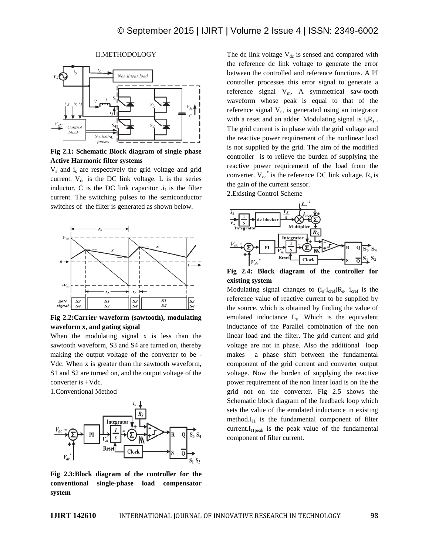

II.METHODOLOGY

**Fig 2.1: Schematic Block diagram of single phase Active Harmonic filter systems**

 $V_s$  and  $i_s$  are respectively the grid voltage and grid current.  $V_{dc}$  is the DC link voltage. L is the series inductor. C is the DC link capacitor  $\mathbf{I}_I$  is the filter current. The switching pulses to the semiconductor switches of the filter is generated as shown below.



**Fig 2.2:Carrier waveform (sawtooth), modulating waveform x, and gating signal**

When the modulating signal x is less than the sawtooth waveform, S3 and S4 are turned on, thereby making the output voltage of the converter to be - Vdc. When x is greater than the sawtooth waveform, S1 and S2 are turned on, and the output voltage of the converter is +Vdc.

1.Conventional Method



**Fig 2.3:Block diagram of the controller for the conventional single-phase load compensator system**

The dc link voltage  $V_{dc}$  is sensed and compared with the reference dc link voltage to generate the error between the controlled and reference functions. A PI controller processes this error signal to generate a reference signal  $V_m$ . A symmetrical saw-tooth waveform whose peak is equal to that of the reference signal  $V_m$  is generated using an integrator with a reset and an adder. Modulating signal is  $i_s R_s$ . The grid current is in phase with the grid voltage and the reactive power requirement of the nonlinear load is not supplied by the grid. The aim of the modified controller is to relieve the burden of supplying the reactive power requirement of the load from the converter.  $V_{dc}^*$  is the reference DC link voltage.  $R_s$  is the gain of the current sensor.

2.Existing Control Scheme



**Fig 2.4: Block diagram of the controller for existing system**

Modulating signal changes to  $(i_s-i_{\text{cref}})R_s$ .  $i_{\text{cref}}$  is the reference value of reactive current to be supplied by the source. which is obtained by finding the value of emulated inductance L<sup>e</sup> .Which is the equivalent inductance of the Parallel combination of the non linear load and the filter. The grid current and grid voltage are not in phase. Also the additional loop makes a phase shift between the fundamental component of the grid current and converter output voltage. Now the burden of supplying the reactive power requirement of the non linear load is on the the grid not on the converter. Fig 2.5 shows the Schematic block diagram of the feedback loop which sets the value of the emulated inductance in existing method. $I_{11}$  is the fundamental component of filter  $current.I<sub>I1peak</sub>$  is the peak value of the fundamental component of filter current.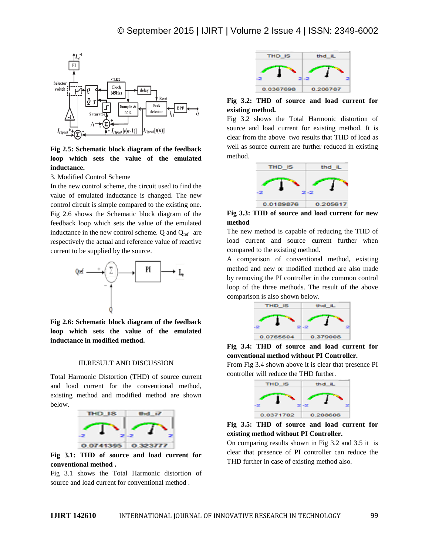

**Fig 2.5: Schematic block diagram of the feedback loop which sets the value of the emulated inductance.**

3. Modified Control Scheme

In the new control scheme, the circuit used to find the value of emulated inductance is changed. The new control circuit is simple compared to the existing one. Fig 2.6 shows the Schematic block diagram of the feedback loop which sets the value of the emulated inductance in the new control scheme. Q and  $Q_{ref}$  are respectively the actual and reference value of reactive current to be supplied by the source.



**Fig 2.6: Schematic block diagram of the feedback loop which sets the value of the emulated inductance in modified method.**

#### III.RESULT AND DISCUSSION

Total Harmonic Distortion (THD) of source current and load current for the conventional method, existing method and modified method are shown below.



**Fig 3.1: THD of source and load current for conventional method .**

Fig 3.1 shows the Total Harmonic distortion of source and load current for conventional method .



**Fig 3.2: THD of source and load current for existing method.**

Fig 3.2 shows the Total Harmonic distortion of source and load current for existing method. It is clear from the above two results that THD of load as well as source current are further reduced in existing method.



**Fig 3.3: THD of source and load current for new method**

The new method is capable of reducing the THD of load current and source current further when compared to the existing method.

A comparison of conventional method, existing method and new or modified method are also made by removing the PI controller in the common control loop of the three methods. The result of the above comparison is also shown below.



**Fig 3.4: THD of source and load current for conventional method without PI Controller.** From Fig 3.4 shown above it is clear that presence PI controller will reduce the THD further.



**Fig 3.5: THD of source and load current for existing method without PI Controller.**

On comparing results shown in Fig 3.2 and 3.5 it is clear that presence of PI controller can reduce the THD further in case of existing method also.